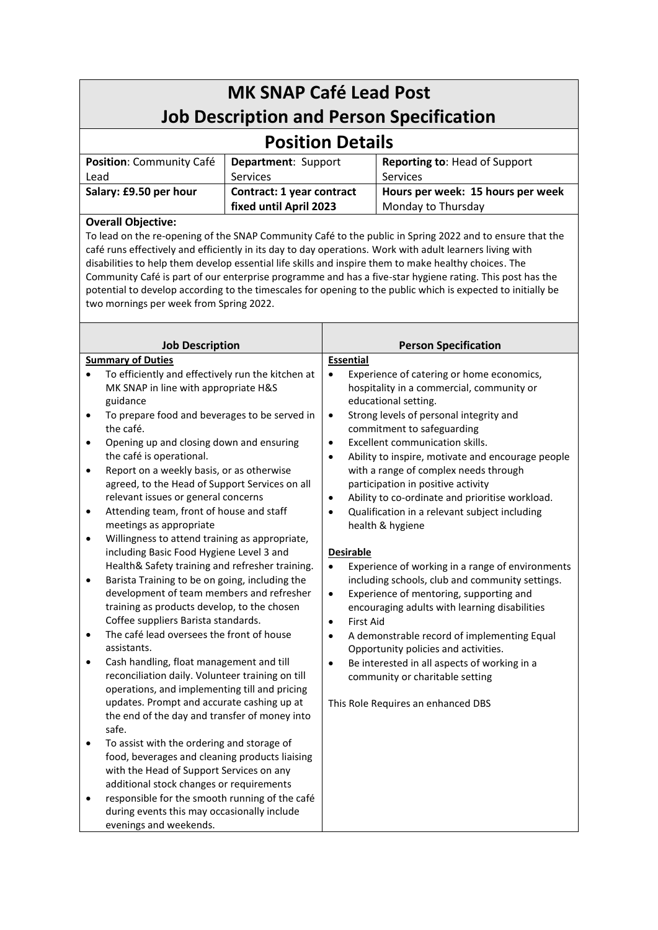| <b>MK SNAP Café Lead Post</b>                   |                           |                                   |  |  |  |
|-------------------------------------------------|---------------------------|-----------------------------------|--|--|--|
| <b>Job Description and Person Specification</b> |                           |                                   |  |  |  |
| <b>Position Details</b>                         |                           |                                   |  |  |  |
| Position: Community Café                        | Department: Support       | Reporting to: Head of Support     |  |  |  |
| Lead                                            | <b>Services</b>           | Services                          |  |  |  |
| Salary: £9.50 per hour                          | Contract: 1 year contract | Hours per week: 15 hours per week |  |  |  |
|                                                 | fixed until April 2023    | Monday to Thursday                |  |  |  |
| Overall Ohiective:                              |                           |                                   |  |  |  |

## **Overall Objective:**

To lead on the re-opening of the SNAP Community Café to the public in Spring 2022 and to ensure that the café runs effectively and efficiently in its day to day operations. Work with adult learners living with disabilities to help them develop essential life skills and inspire them to make healthy choices. The Community Café is part of our enterprise programme and has a five-star hygiene rating. This post has the potential to develop according to the timescales for opening to the public which is expected to initially be two mornings per week from Spring 2022.

|                                     | <b>Job Description</b>                                                                                                                                                                                                                                | <b>Person Specification</b>                                                                                                                                                                                                                                                                                                         |
|-------------------------------------|-------------------------------------------------------------------------------------------------------------------------------------------------------------------------------------------------------------------------------------------------------|-------------------------------------------------------------------------------------------------------------------------------------------------------------------------------------------------------------------------------------------------------------------------------------------------------------------------------------|
| <b>Summary of Duties</b>            |                                                                                                                                                                                                                                                       | <b>Essential</b>                                                                                                                                                                                                                                                                                                                    |
| $\bullet$<br>$\bullet$<br>$\bullet$ | To efficiently and effectively run the kitchen at<br>MK SNAP in line with appropriate H&S<br>guidance<br>To prepare food and beverages to be served in<br>the café.<br>Opening up and closing down and ensuring<br>the café is operational.           | Experience of catering or home economics,<br>$\bullet$<br>hospitality in a commercial, community or<br>educational setting.<br>Strong levels of personal integrity and<br>$\bullet$<br>commitment to safeguarding<br>Excellent communication skills.<br>$\bullet$<br>Ability to inspire, motivate and encourage people<br>$\bullet$ |
| ٠                                   | Report on a weekly basis, or as otherwise<br>agreed, to the Head of Support Services on all<br>relevant issues or general concerns<br>Attending team, front of house and staff                                                                        | with a range of complex needs through<br>participation in positive activity<br>Ability to co-ordinate and prioritise workload.<br>$\bullet$<br>$\bullet$                                                                                                                                                                            |
| $\bullet$<br>$\bullet$              | meetings as appropriate<br>Willingness to attend training as appropriate,                                                                                                                                                                             | Qualification in a relevant subject including<br>health & hygiene                                                                                                                                                                                                                                                                   |
|                                     | including Basic Food Hygiene Level 3 and<br>Health& Safety training and refresher training.                                                                                                                                                           | <b>Desirable</b><br>Experience of working in a range of environments<br>$\bullet$                                                                                                                                                                                                                                                   |
| $\bullet$                           | Barista Training to be on going, including the<br>development of team members and refresher<br>training as products develop, to the chosen<br>Coffee suppliers Barista standards.                                                                     | including schools, club and community settings.<br>Experience of mentoring, supporting and<br>$\bullet$<br>encouraging adults with learning disabilities<br><b>First Aid</b><br>$\bullet$                                                                                                                                           |
| $\bullet$                           | The café lead oversees the front of house<br>assistants.                                                                                                                                                                                              | A demonstrable record of implementing Equal<br>$\bullet$<br>Opportunity policies and activities.                                                                                                                                                                                                                                    |
| $\bullet$                           | Cash handling, float management and till<br>reconciliation daily. Volunteer training on till<br>operations, and implementing till and pricing<br>updates. Prompt and accurate cashing up at<br>the end of the day and transfer of money into<br>safe. | Be interested in all aspects of working in a<br>$\bullet$<br>community or charitable setting<br>This Role Requires an enhanced DBS                                                                                                                                                                                                  |
| $\bullet$<br>$\bullet$              | To assist with the ordering and storage of<br>food, beverages and cleaning products liaising<br>with the Head of Support Services on any<br>additional stock changes or requirements<br>responsible for the smooth running of the café                |                                                                                                                                                                                                                                                                                                                                     |
|                                     | during events this may occasionally include<br>evenings and weekends.                                                                                                                                                                                 |                                                                                                                                                                                                                                                                                                                                     |